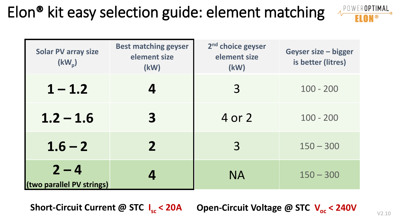## Elon® kit easy selection guide: element matching

| POWEROPTIMAL |  |
|--------------|--|
|              |  |

| <b>Solar PV array size</b><br>$(kW_p)$ | <b>Best matching geyser</b><br>element size<br>(kW) | 2 <sup>nd</sup> choice geyser<br>element size<br>(kW) | <b>Geyser size - bigger</b><br>is better (litres) |
|----------------------------------------|-----------------------------------------------------|-------------------------------------------------------|---------------------------------------------------|
| $1 - 1.2$                              |                                                     | 3                                                     | $100 - 200$                                       |
| $1.2 - 1.6$                            | 3                                                   | 4 or 2                                                | $100 - 200$                                       |
| $1.6 - 2$                              | $\mathbf{2}$                                        | $\overline{3}$                                        | $150 - 300$                                       |
| $2 - 4$<br>(two parallel PV strings)   |                                                     | <b>NA</b>                                             | $150 - 300$                                       |

Short-Circuit Current @ STC I<sub>sc</sub> < 20A **sc < 20A Open-Circuit Voltage @ STC Voc < 240V**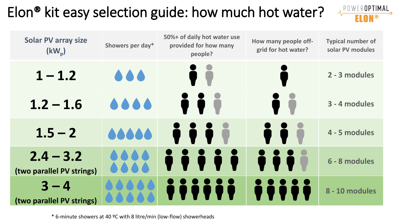## Elon® kit easy selection guide: how much hot water?

| <b>Solar PV array size</b><br>$(kW_p)$   | Showers per day* | 50%+ of daily hot water use<br>provided for how many<br>people? | How many people off-<br>grid for hot water? | <b>Typical number of</b><br>solar PV modules |
|------------------------------------------|------------------|-----------------------------------------------------------------|---------------------------------------------|----------------------------------------------|
| $1 - 1.2$                                | 666              |                                                                 |                                             | 2 - 3 modules                                |
| $1.2 - 1.6$                              | 0.000            | i r                                                             | $\bullet$ and                               | 3 - 4 modules                                |
| $1.5 - 2$                                | 66666            | <b>DO</b>                                                       |                                             | 4 - 5 modules                                |
| $2.4 - 3.2$<br>(two parallel PV strings) |                  |                                                                 |                                             | 6 - 8 modules                                |
| $3 - 4$<br>(two parallel PV strings)     |                  |                                                                 |                                             | 8 - 10 modules                               |

POWER**OPTIMAL** 

\* 6-minute showers at 40 ºC with 8 litre/min (low-flow) showerheads